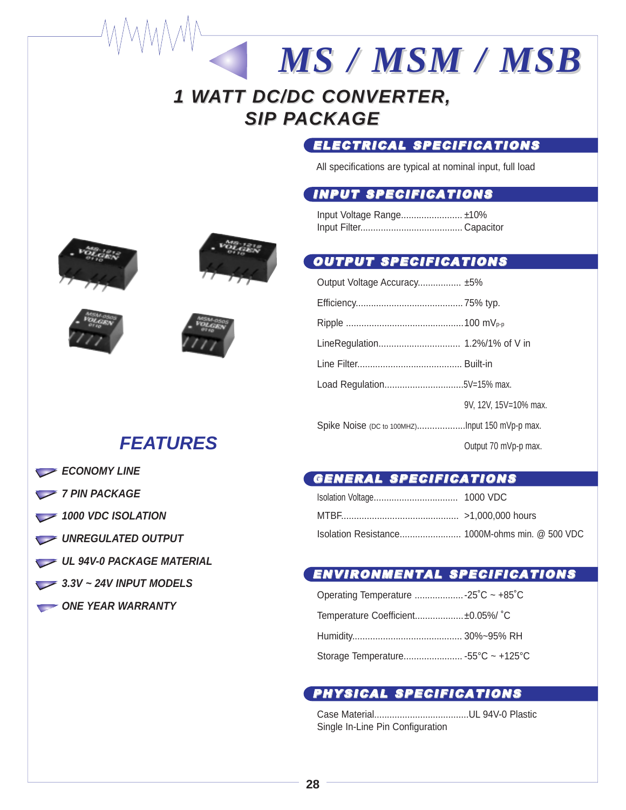# **1 WATT DC/DC CONVERTER, SIP PACKAGE**

## ELECTRICAL SPECIFICATIONS

*MS / MSM / MSB MS / MSM / MSB*

All specifications are typical at nominal input, full load

## INPUT SPECIFICATIONS

Input Voltage Range........................ ±10% Input Filter........................................ Capacitor

## OUTPUT SPECIFICATIONS

| Output Voltage Accuracy ±5% |                       |
|-----------------------------|-----------------------|
|                             |                       |
|                             |                       |
|                             |                       |
|                             |                       |
|                             |                       |
|                             | 9V. 12V. 15V=10% max. |
|                             |                       |
|                             | Output 70 mVp-p max.  |

## GENERAL SPECIFICATIONS

### ENVIRONMENTAL SPECIFICATIONS

| Temperature Coefficient ±0.05%/ °C |  |
|------------------------------------|--|
|                                    |  |
|                                    |  |

## PHYSICAL SPECIFICATIONS

Case Material.....................................UL 94V-0 Plastic Single In-Line Pin Configuration







# **FEATURES**

- **ECONOMY LINE**
- *7 PIN PACKAGE*
- 1000 VDC ISOLATION
- UNREGULATED OUTPUT
- **UL 94V-0 PACKAGE MATERIAL**
- **3.3V ~ 24V INPUT MODELS**
- **ONE YEAR WARRANTY**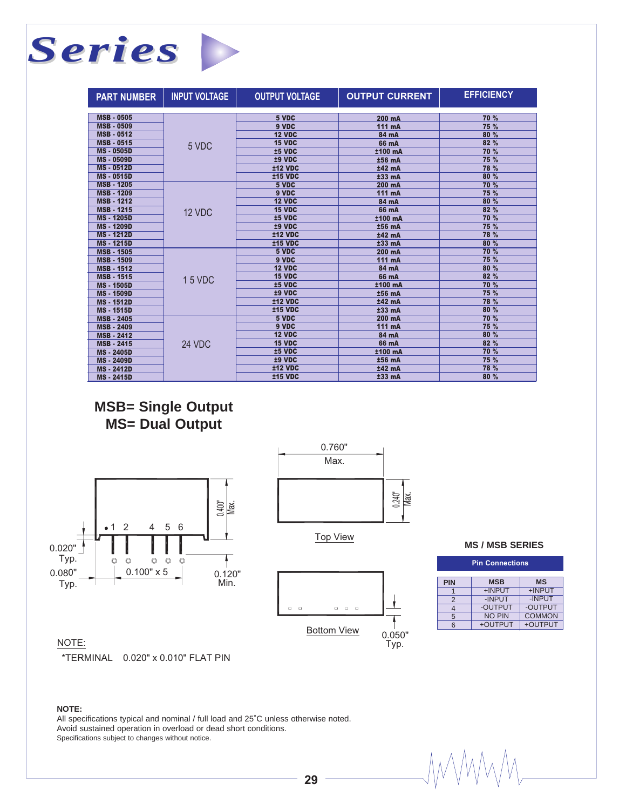## *Series* **The Contract of Street**

| <b>PART NUMBER</b> | <b>INPUT VOLTAGE</b> | <b>OUTPUT VOLTAGE</b> | <b>OUTPUT CURRENT</b> | <b>EFFICIENCY</b> |
|--------------------|----------------------|-----------------------|-----------------------|-------------------|
|                    |                      |                       |                       |                   |
| <b>MSB - 0505</b>  |                      | 5 VDC                 | 200 mA                | 70 %              |
| <b>MSB - 0509</b>  |                      | 9 VDC                 | 111 mA                | 75 %              |
| <b>MSB - 0512</b>  |                      | 12 VDC                | 84 mA                 | 80 %              |
| <b>MSB - 0515</b>  | 5 VDC                | 15 VDC                | 66 mA                 | 82 %              |
| <b>MS-0505D</b>    |                      | ±5 VDC                | ±100 mA               | 70 %              |
| <b>MS-0509D</b>    |                      | ±9 VDC                | ±56 mA                | 75 %              |
| <b>MS-0512D</b>    |                      | <b>±12 VDC</b>        | ±42 mA                | 78 %              |
| <b>MS-0515D</b>    |                      | <b>±15 VDC</b>        | $±33$ mA              | 80 %              |
| <b>MSB - 1205</b>  |                      | 5 VDC                 | 200 mA                | 70 %              |
| <b>MSB - 1209</b>  |                      | 9 VDC                 | 111 mA                | 75 %              |
| <b>MSB - 1212</b>  |                      | 12 VDC                | 84 mA                 | 80 %              |
| <b>MSB - 1215</b>  | 12 VDC               | 15 VDC                | 66 mA                 | 82 %              |
| <b>MS-1205D</b>    |                      | ±5 VDC                | ±100 mA               | 70 %              |
| <b>MS-1209D</b>    |                      | ±9 VDC                | ±56 mA                | 75 %              |
| <b>MS-1212D</b>    |                      | <b>±12 VDC</b>        | ±42 mA                | 78 %              |
| <b>MS-1215D</b>    |                      | $±15$ VDC             | $±33$ mA              | 80 %              |
| <b>MSB - 1505</b>  | 15 VDC               | 5 VDC                 | 200 mA                | 70 %              |
| <b>MSB - 1509</b>  |                      | 9 VDC                 | 111 mA                | <b>75 %</b>       |
| <b>MSB - 1512</b>  |                      | 12 VDC                | 84 mA                 | 80 %              |
| <b>MSB - 1515</b>  |                      | <b>15 VDC</b>         | 66 mA                 | 82 %              |
| <b>MS-1505D</b>    |                      | ±5 VDC                | ±100 mA               | 70 %              |
| <b>MS-1509D</b>    |                      | ±9 VDC                | ±56 mA                | 75 %              |
| <b>MS-1512D</b>    |                      | <b>±12 VDC</b>        | ±42 mA                | 78 %              |
| <b>MS-1515D</b>    |                      | <b>±15 VDC</b>        | ±33 mA                | 80 %              |
| <b>MSB - 2405</b>  |                      | 5 VDC                 | 200 mA                | 70 %              |
| <b>MSB - 2409</b>  |                      | 9 VDC                 | 111 mA                | 75 %              |
| <b>MSB - 2412</b>  |                      | 12 VDC                | 84 mA                 | 80 %              |
| <b>MSB - 2415</b>  | 24 VDC               | 15 VDC                | 66 mA                 | 82 %              |
| <b>MS-2405D</b>    |                      | ±5 VDC                | ±100 mA               | 70 %              |
| <b>MS-2409D</b>    |                      | ±9 VDC                | ±56 mA                | 75 %              |
| <b>MS-2412D</b>    |                      | <b>±12 VDC</b>        | ±42 mA                | 78 %              |
| <b>MS-2415D</b>    |                      | $±15$ VDC             | $±33$ mA              | 80 %              |

## **MSB= Single Output MS= Dual Output**





Top View



|  |  |  | MS / MSB SERIES |
|--|--|--|-----------------|
|--|--|--|-----------------|

| <b>Pin Connections</b> |               |               |  |
|------------------------|---------------|---------------|--|
| <b>PIN</b>             | <b>MSB</b>    | <b>MS</b>     |  |
|                        | +INPUT        | +INPUT        |  |
| $\overline{2}$         | -INPUT        | -INPUT        |  |
| 4                      | -OUTPUT       | -OUTPUT       |  |
| 5                      | <b>NO PIN</b> | <b>COMMON</b> |  |
| 6                      | +OUTPUT       | +OUTPUT       |  |

*IMMM* 

### NOTE:

\*TERMINAL 0.020" x 0.010" FLAT PIN

#### **NOTE:**

All specifications typical and nominal / full load and 25˚C unless otherwise noted. Avoid sustained operation in overload or dead short conditions. Specifications subject to changes without notice.